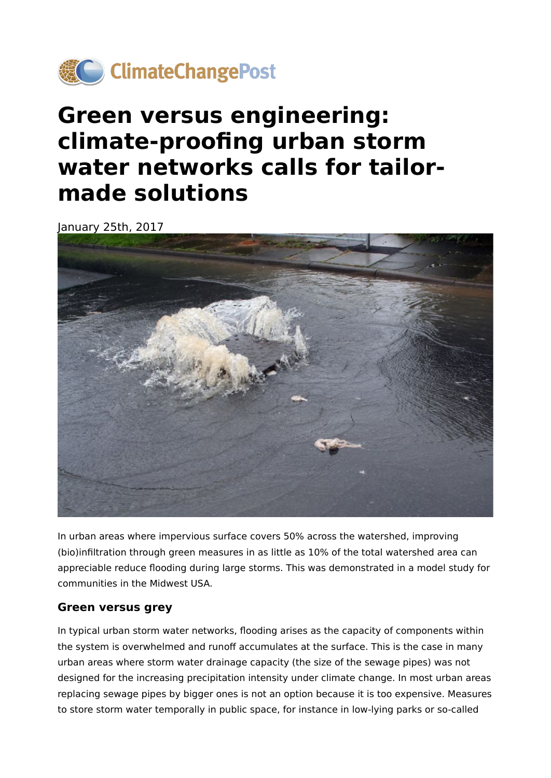

# **Green versus engineering: climate-proofing urban storm water networks calls for tailormade solutions**

January 25th, 2017



In urban areas where impervious surface covers 50% across the watershed, improving (bio)infiltration through green measures in as little as 10% of the total watershed area can appreciable reduce flooding during large storms. This was demonstrated in a model study for communities in the Midwest USA.

#### **Green versus grey**

In typical urban storm water networks, flooding arises as the capacity of components within the system is overwhelmed and runoff accumulates at the surface. This is the case in many urban areas where storm water drainage capacity (the size of the sewage pipes) was not designed for the increasing precipitation intensity under climate change. In most urban areas replacing sewage pipes by bigger ones is not an option because it is too expensive. Measures to store storm water temporally in public space, for instance in low-lying parks or so-called